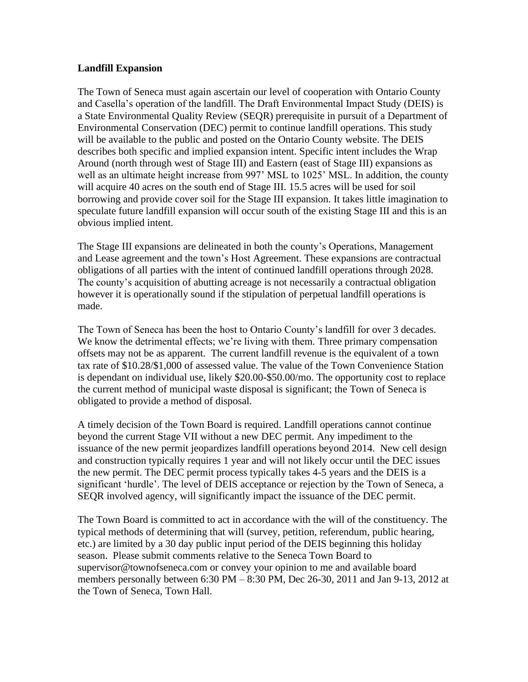## **Landfill Expansion**

The Town of Seneca must again ascertain our level of cooperation with Ontario County and Casella's operation of the landfill. The Draft Environmental Impact Study (DEIS) is a State Environmental Quality Review (SEQR) prerequisite in pursuit of a Department of Environmental Conservation (DEC) permit to continue landfill operations. This study will be available to the public and posted on the Ontario County website. The DEIS describes both specific and implied expansion intent. Specific intent includes the Wrap Around (north through west of Stage III) and Eastern (east of Stage III) expansions as well as an ultimate height increase from 997' MSL to 1025' MSL. In addition, the county will acquire 40 acres on the south end of Stage III. 15.5 acres will be used for soil borrowing and provide cover soil for the Stage III expansion. It takes little imagination to speculate future landfill expansion will occur south of the existing Stage III and this is an obvious implied intent.

The Stage III expansions are delineated in both the county's Operations, Management and Lease agreement and the town's Host Agreement. These expansions are contractual obligations of all parties with the intent of continued landfill operations through 2028. The county's acquisition of abutting acreage is not necessarily a contractual obligation however it is operationally sound if the stipulation of perpetual landfill operations is made.

The Town of Seneca has been the host to Ontario County's landfill for over 3 decades. We know the detrimental effects; we're living with them. Three primary compensation offsets may not be as apparent. The current landfill revenue is the equivalent of a town tax rate of \$10.28/\$1,000 of assessed value. The value of the Town Convenience Station is dependant on individual use, likely \$20.00-\$50.00/mo. The opportunity cost to replace the current method of municipal waste disposal is significant; the Town of Seneca is obligated to provide a method of disposal.

A timely decision of the Town Board is required. Landfill operations cannot continue beyond the current Stage VII without a new DEC permit. Any impediment to the issuance of the new permit jeopardizes landfill operations beyond 2014. New cell design and construction typically requires 1 year and will not likely occur until the DEC issues the new permit. The DEC permit process typically takes 4-5 years and the DEIS is a significant 'hurdle'. The level of DEIS acceptance or rejection by the Town of Seneca, a SEQR involved agency, will significantly impact the issuance of the DEC permit.

The Town Board is committed to act in accordance with the will of the constituency. The typical methods of determining that will (survey, petition, referendum, public hearing, etc.) are limited by a 30 day public input period of the DEIS beginning this holiday season. Please submit comments relative to the Seneca Town Board to supervisor@townofseneca.com or convey your opinion to me and available board members personally between 6:30 PM – 8:30 PM, Dec 26-30, 2011 and Jan 9-13, 2012 at the Town of Seneca, Town Hall.